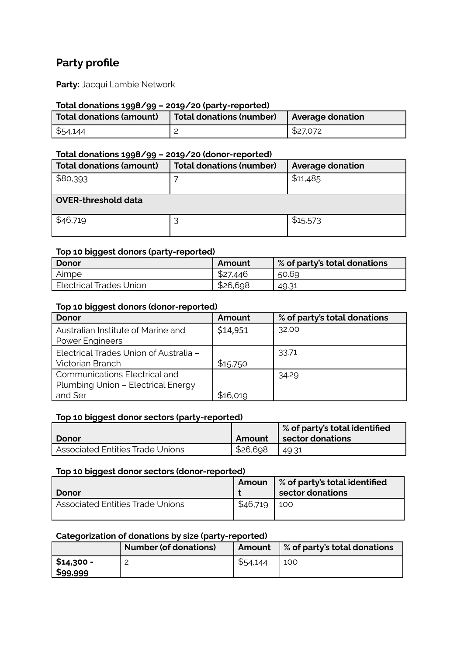# **Party profile**

**Party:** Jacqui Lambie Network

#### **Total donations 1998/99 – 2019/20 (party-reported)**

| Total donations (amount) | <b>Total donations (number)</b> | <b>Average donation</b> |
|--------------------------|---------------------------------|-------------------------|
| \$54,144                 |                                 | \$27,072                |

#### **Total donations 1998/99 – 2019/20 (donor-reported)**

| <b>Total donations (amount)</b> | <b>Total donations (number)</b> | <b>Average donation</b> |  |  |
|---------------------------------|---------------------------------|-------------------------|--|--|
| \$80,393                        |                                 | \$11,485                |  |  |
| <b>OVER-threshold data</b>      |                                 |                         |  |  |
| \$46,719                        |                                 | \$15,573                |  |  |

#### **Top 10 biggest donors (party-reported)**

| Donor                   | Amount   | $\%$ of party's total donations $\frac{1}{2}$ |
|-------------------------|----------|-----------------------------------------------|
| Aimpe                   | \$27.446 | 50.69                                         |
| Electrical Trades Union | \$26,698 | 49.31                                         |

#### **Top 10 biggest donors (donor-reported)**

| <b>Donor</b>                           | Amount   | % of party's total donations |
|----------------------------------------|----------|------------------------------|
| Australian Institute of Marine and     | \$14,951 | 32.00                        |
| <b>Power Engineers</b>                 |          |                              |
| Electrical Trades Union of Australia - |          | 33.71                        |
| <b>Victorian Branch</b>                | \$15,750 |                              |
| Communications Electrical and          |          | 34.29                        |
| Plumbing Union - Electrical Energy     |          |                              |
| and Ser                                | \$16,019 |                              |

#### **Top 10 biggest donor sectors (party-reported)**

|                                         |          | <b>Sof party's total identified</b> |
|-----------------------------------------|----------|-------------------------------------|
| <b>Donor</b>                            | Amount   | <b>sector donations</b>             |
| <b>Associated Entities Trade Unions</b> | \$26,698 | 49.31                               |

#### **Top 10 biggest donor sectors (donor-reported)**

| l Donor                                 |          | <b>Amoun 8 % of party's total identified</b><br>sector donations |
|-----------------------------------------|----------|------------------------------------------------------------------|
| <b>Associated Entities Trade Unions</b> | \$46,719 | 100                                                              |

### **Categorization of donations by size (party-reported)**

|                        | <b>Number (of donations)</b> | Amount   | % of party's total donations |
|------------------------|------------------------------|----------|------------------------------|
| \$14,300 -<br>\$99,999 |                              | \$54,144 | 100                          |